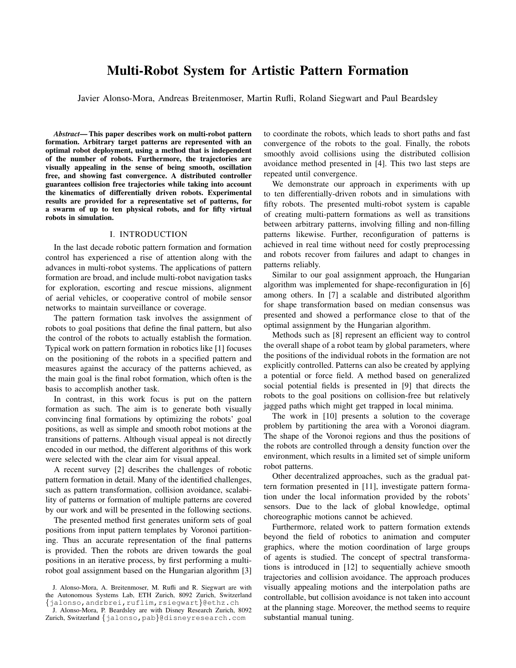# Multi-Robot System for Artistic Pattern Formation

Javier Alonso-Mora, Andreas Breitenmoser, Martin Rufli, Roland Siegwart and Paul Beardsley

*Abstract*— This paper describes work on multi-robot pattern formation. Arbitrary target patterns are represented with an optimal robot deployment, using a method that is independent of the number of robots. Furthermore, the trajectories are visually appealing in the sense of being smooth, oscillation free, and showing fast convergence. A distributed controller guarantees collision free trajectories while taking into account the kinematics of differentially driven robots. Experimental results are provided for a representative set of patterns, for a swarm of up to ten physical robots, and for fifty virtual robots in simulation.

## I. INTRODUCTION

In the last decade robotic pattern formation and formation control has experienced a rise of attention along with the advances in multi-robot systems. The applications of pattern formation are broad, and include multi-robot navigation tasks for exploration, escorting and rescue missions, alignment of aerial vehicles, or cooperative control of mobile sensor networks to maintain surveillance or coverage.

The pattern formation task involves the assignment of robots to goal positions that define the final pattern, but also the control of the robots to actually establish the formation. Typical work on pattern formation in robotics like [1] focuses on the positioning of the robots in a specified pattern and measures against the accuracy of the patterns achieved, as the main goal is the final robot formation, which often is the basis to accomplish another task.

In contrast, in this work focus is put on the pattern formation as such. The aim is to generate both visually convincing final formations by optimizing the robots' goal positions, as well as simple and smooth robot motions at the transitions of patterns. Although visual appeal is not directly encoded in our method, the different algorithms of this work were selected with the clear aim for visual appeal.

A recent survey [2] describes the challenges of robotic pattern formation in detail. Many of the identified challenges, such as pattern transformation, collision avoidance, scalability of patterns or formation of multiple patterns are covered by our work and will be presented in the following sections.

The presented method first generates uniform sets of goal positions from input pattern templates by Voronoi partitioning. Thus an accurate representation of the final patterns is provided. Then the robots are driven towards the goal positions in an iterative process, by first performing a multirobot goal assignment based on the Hungarian algorithm [3] to coordinate the robots, which leads to short paths and fast convergence of the robots to the goal. Finally, the robots smoothly avoid collisions using the distributed collision avoidance method presented in [4]. This two last steps are repeated until convergence.

We demonstrate our approach in experiments with up to ten differentially-driven robots and in simulations with fifty robots. The presented multi-robot system is capable of creating multi-pattern formations as well as transitions between arbitrary patterns, involving filling and non-filling patterns likewise. Further, reconfiguration of patterns is achieved in real time without need for costly preprocessing and robots recover from failures and adapt to changes in patterns reliably.

Similar to our goal assignment approach, the Hungarian algorithm was implemented for shape-reconfiguration in [6] among others. In [7] a scalable and distributed algorithm for shape transformation based on median consensus was presented and showed a performance close to that of the optimal assignment by the Hungarian algorithm.

Methods such as [8] represent an efficient way to control the overall shape of a robot team by global parameters, where the positions of the individual robots in the formation are not explicitly controlled. Patterns can also be created by applying a potential or force field. A method based on generalized social potential fields is presented in [9] that directs the robots to the goal positions on collision-free but relatively jagged paths which might get trapped in local minima.

The work in [10] presents a solution to the coverage problem by partitioning the area with a Voronoi diagram. The shape of the Voronoi regions and thus the positions of the robots are controlled through a density function over the environment, which results in a limited set of simple uniform robot patterns.

Other decentralized approaches, such as the gradual pattern formation presented in [11], investigate pattern formation under the local information provided by the robots' sensors. Due to the lack of global knowledge, optimal choreographic motions cannot be achieved.

Furthermore, related work to pattern formation extends beyond the field of robotics to animation and computer graphics, where the motion coordination of large groups of agents is studied. The concept of spectral transformations is introduced in [12] to sequentially achieve smooth trajectories and collision avoidance. The approach produces visually appealing motions and the interpolation paths are controllable, but collision avoidance is not taken into account at the planning stage. Moreover, the method seems to require substantial manual tuning.

J. Alonso-Mora, A. Breitenmoser, M. Rufli and R. Siegwart are with the Autonomous Systems Lab, ETH Zurich, 8092 Zurich, Switzerland {jalonso,andrbrei,ruflim,rsiegwart}@ethz.ch

J. Alonso-Mora, P. Beardsley are with Disney Research Zurich, 8092 Zurich, Switzerland {jalonso,pab}@disneyresearch.com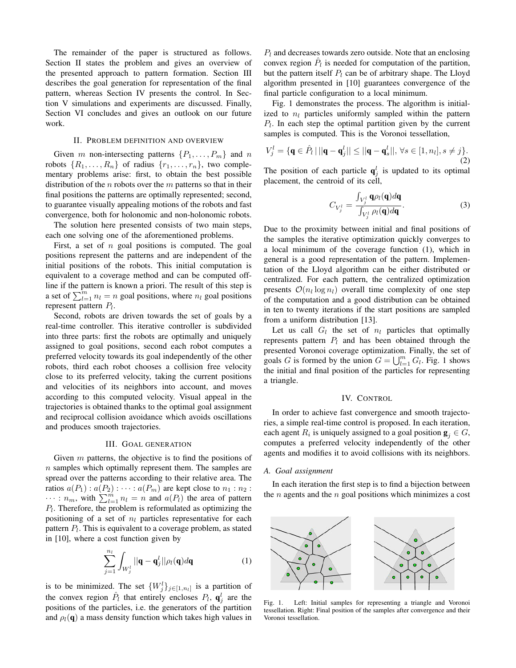The remainder of the paper is structured as follows. Section II states the problem and gives an overview of the presented approach to pattern formation. Section III describes the goal generation for representation of the final pattern, whereas Section IV presents the control. In Section V simulations and experiments are discussed. Finally, Section VI concludes and gives an outlook on our future work.

## II. PROBLEM DEFINITION AND OVERVIEW

Given m non-intersecting patterns  $\{P_1, \ldots, P_m\}$  and n robots  $\{R_1, \ldots, R_n\}$  of radius  $\{r_1, \ldots, r_n\}$ , two complementary problems arise: first, to obtain the best possible distribution of the  $n$  robots over the  $m$  patterns so that in their final positions the patterns are optimally represented; second, to guarantee visually appealing motions of the robots and fast convergence, both for holonomic and non-holonomic robots.

The solution here presented consists of two main steps, each one solving one of the aforementioned problems.

First, a set of  $n$  goal positions is computed. The goal positions represent the patterns and are independent of the initial positions of the robots. This initial computation is equivalent to a coverage method and can be computed offline if the pattern is known a priori. The result of this step is a set of  $\sum_{l=1}^{m} n_l = n$  goal positions, where  $n_l$  goal positions represent pattern  $P_l$ .

Second, robots are driven towards the set of goals by a real-time controller. This iterative controller is subdivided into three parts: first the robots are optimally and uniquely assigned to goal positions, second each robot computes a preferred velocity towards its goal independently of the other robots, third each robot chooses a collision free velocity close to its preferred velocity, taking the current positions and velocities of its neighbors into account, and moves according to this computed velocity. Visual appeal in the trajectories is obtained thanks to the optimal goal assignment and reciprocal collision avoidance which avoids oscillations and produces smooth trajectories.

## III. GOAL GENERATION

Given  $m$  patterns, the objective is to find the positions of  $n$  samples which optimally represent them. The samples are spread over the patterns according to their relative area. The ratios  $a(P_1)$ :  $a(P_2)$ :  $\cdots$ :  $a(P_m)$  are kept close to  $n_1$ :  $n_2$ :  $\cdots$ :  $n_m$ , with  $\sum_{l=1}^{m} n_l = n$  and  $a(P_l)$  the area of pattern  $P_l$ . Therefore, the problem is reformulated as optimizing the positioning of a set of  $n_l$  particles representative for each pattern  $P_l$ . This is equivalent to a coverage problem, as stated in [10], where a cost function given by

$$
\sum_{j=1}^{n_l} \int_{W_j^l} ||\mathbf{q} - \mathbf{q}_j^l|| \rho_l(\mathbf{q}) d\mathbf{q}
$$
 (1)

is to be minimized. The set  $\{W_j^l\}_{j\in[1,n_l]}$  is a partition of the convex region  $\hat{P}_l$  that entirely encloses  $P_l$ ,  $\mathbf{q}_j^l$  are the positions of the particles, i.e. the generators of the partition and  $\rho_l(\mathbf{q})$  a mass density function which takes high values in  $P_l$  and decreases towards zero outside. Note that an enclosing convex region  $\hat{P}_l$  is needed for computation of the partition, but the pattern itself  $P_l$  can be of arbitrary shape. The Lloyd algorithm presented in [10] guarantees convergence of the final particle configuration to a local minimum.

Fig. 1 demonstrates the process. The algorithm is initialized to  $n_l$  particles uniformly sampled within the pattern  $P_l$ . In each step the optimal partition given by the current samples is computed. This is the Voronoi tessellation,

$$
V_j^l = \{ \mathbf{q} \in \hat{P}_l \, | \, ||\mathbf{q} - \mathbf{q}_j^l|| \le ||\mathbf{q} - \mathbf{q}_s^l||, \, \forall s \in [1, n_l], s \ne j \}.
$$
\n(2)

The position of each particle  $q_j^l$  is updated to its optimal placement, the centroid of its cell,

$$
C_{V_j^l} = \frac{\int_{V_j^l} \mathbf{q} \rho_l(\mathbf{q}) d\mathbf{q}}{\int_{V_j^l} \rho_l(\mathbf{q}) d\mathbf{q}}.
$$
 (3)

Due to the proximity between initial and final positions of the samples the iterative optimization quickly converges to a local minimum of the coverage function (1), which in general is a good representation of the pattern. Implementation of the Lloyd algorithm can be either distributed or centralized. For each pattern, the centralized optimization presents  $\mathcal{O}(n_l \log n_l)$  overall time complexity of one step of the computation and a good distribution can be obtained in ten to twenty iterations if the start positions are sampled from a uniform distribution [13].

Let us call  $G_l$  the set of  $n_l$  particles that optimally represents pattern  $P_l$  and has been obtained through the presented Voronoi coverage optimization. Finally, the set of goals G is formed by the union  $G = \bigcup_{l=1}^{m} G_l$ . Fig. 1 shows the initial and final position of the particles for representing a triangle.

### IV. CONTROL

In order to achieve fast convergence and smooth trajectories, a simple real-time control is proposed. In each iteration, each agent  $R_i$  is uniquely assigned to a goal position  $\mathbf{g}_j \in G$ , computes a preferred velocity independently of the other agents and modifies it to avoid collisions with its neighbors.

#### *A. Goal assignment*

In each iteration the first step is to find a bijection between the  $n$  agents and the  $n$  goal positions which minimizes a cost



Fig. 1. Left: Initial samples for representing a triangle and Voronoi tessellation. Right: Final position of the samples after convergence and their Voronoi tessellation.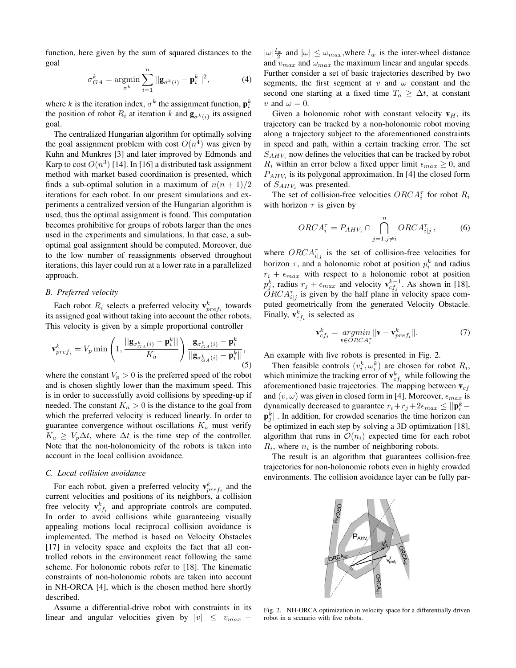function, here given by the sum of squared distances to the goal

$$
\sigma_{GA}^k = \underset{\sigma^k}{\text{argmin}} \sum_{i=1}^n ||\mathbf{g}_{\sigma^k(i)} - \mathbf{p}_i^k||^2, \tag{4}
$$

where k is the iteration index,  $\sigma^k$  the assignment function,  $\mathbf{p}_i^k$ the position of robot  $R_i$  at iteration k and  $\mathbf{g}_{\sigma^k(i)}$  its assigned goal.

The centralized Hungarian algorithm for optimally solving the goal assignment problem with cost  $O(n^4)$  was given by Kuhn and Munkres [3] and later improved by Edmonds and Karp to cost  $O(n^3)$  [14]. In [16] a distributed task assignment method with market based coordination is presented, which finds a sub-optimal solution in a maximum of  $n(n + 1)/2$ iterations for each robot. In our present simulations and experiments a centralized version of the Hungarian algorithm is used, thus the optimal assignment is found. This computation becomes prohibitive for groups of robots larger than the ones used in the experiments and simulations. In that case, a suboptimal goal assignment should be computed. Moreover, due to the low number of reassignments observed throughout iterations, this layer could run at a lower rate in a parallelized approach.

## *B. Preferred velocity*

Each robot  $R_i$  selects a preferred velocity  $\mathbf{v}_{pref_i}^k$  towards its assigned goal without taking into account the other robots. This velocity is given by a simple proportional controller

$$
\mathbf{v}_{pref_i}^k = V_p \min\left(1, \frac{||\mathbf{g}_{\sigma_{GA}^k(i)} - \mathbf{p}_i^k||}{K_a}\right) \frac{\mathbf{g}_{\sigma_{GA}^k(i)} - \mathbf{p}_i^k}{||\mathbf{g}_{\sigma_{GA}^k(i)} - \mathbf{p}_i^k||},\tag{5}
$$

where the constant  $V_p > 0$  is the preferred speed of the robot and is chosen slightly lower than the maximum speed. This is in order to successfully avoid collisions by speeding-up if needed. The constant  $K_a > 0$  is the distance to the goal from which the preferred velocity is reduced linearly. In order to guarantee convergence without oscillations  $K_a$  must verify  $K_a \geq V_p \Delta t$ , where  $\Delta t$  is the time step of the controller. Note that the non-holonomicity of the robots is taken into account in the local collision avoidance.

## *C. Local collision avoidance*

For each robot, given a preferred velocity  $\mathbf{v}_{pref_i}^k$  and the current velocities and positions of its neighbors, a collision free velocity  $\mathbf{v}_{cf_i}^k$  and appropriate controls are computed. In order to avoid collisions while guaranteeing visually appealing motions local reciprocal collision avoidance is implemented. The method is based on Velocity Obstacles [17] in velocity space and exploits the fact that all controlled robots in the environment react following the same scheme. For holonomic robots refer to [18]. The kinematic constraints of non-holonomic robots are taken into account in NH-ORCA [4], which is the chosen method here shortly described.

Assume a differential-drive robot with constraints in its linear and angular velocities given by  $|v| \leq v_{max}$  –

 $|\omega| \frac{l_w}{2}$  and  $|\omega| \leq \omega_{max}$ , where  $l_w$  is the inter-wheel distance and  $v_{max}$  and  $\omega_{max}$  the maximum linear and angular speeds. Further consider a set of basic trajectories described by two segments, the first segment at  $v$  and  $\omega$  constant and the second one starting at a fixed time  $T_0 \geq \Delta t$ , at constant v and  $\omega = 0$ .

Given a holonomic robot with constant velocity  $v_H$ , its trajectory can be tracked by a non-holonomic robot moving along a trajectory subject to the aforementioned constraints in speed and path, within a certain tracking error. The set  $S_{AHV_i}$  now defines the velocities that can be tracked by robot  $R_i$  within an error below a fixed upper limit  $\epsilon_{max} \geq 0$ , and  $P_{AHV_i}$  is its polygonal approximation. In [4] the closed form of  $S_{AHV_i}$  was presented.

The set of collision-free velocities  $ORCA_i^{\tau}$  for robot  $R_i$ with horizon  $\tau$  is given by

$$
ORCA_i^{\tau} = P_{AHV_i} \cap \bigcap_{j=1, j \neq i}^{n} ORCA_{i|j}^{\tau}, \tag{6}
$$

where  $ORCA^{\tau}_{i|j}$  is the set of collision-free velocities for horizon  $\tau$ , and a holonomic robot at position  $p_i^k$  and radius  $r_i + \epsilon_{max}$  with respect to a holonomic robot at position  $p_j^k$ , radius  $r_j + \epsilon_{max}$  and velocity  $\mathbf{v}_{cf_j}^{k-1}$ . As shown in [18],  $\check{O}RCA_{i|j}^{\tau}$  is given by the half plane in velocity space computed geometrically from the generated Velocity Obstacle. Finally,  $\mathbf{v}_{cf_i}^k$  is selected as

$$
\mathbf{v}_{cf_i}^k = \underset{\mathbf{v} \in ORCA_i^{\tau}}{\operatorname{argmin}} \|\mathbf{v} - \mathbf{v}_{pref_i}^k\|. \tag{7}
$$

An example with five robots is presented in Fig. 2.

Then feasible controls  $(v_i^k, \omega_i^k)$  are chosen for robot  $R_i$ , which minimize the tracking error of  $\mathbf{v}_{cf_i}^k$  while following the aforementioned basic trajectories. The mapping between  $v_{cf}$ and  $(v, \omega)$  was given in closed form in [4]. Moreover,  $\epsilon_{max}$  is dynamically decreased to guarantee  $r_i + r_j + 2\epsilon_{max} \le ||\mathbf{p}_i^k |\mathbf{p}_j^k||$ . In addition, for crowded scenarios the time horizon can be optimized in each step by solving a 3D optimization [18], algorithm that runs in  $\mathcal{O}(n_i)$  expected time for each robot  $R_i$ , where  $n_i$  is the number of neighboring robots.

The result is an algorithm that guarantees collision-free trajectories for non-holonomic robots even in highly crowded environments. The collision avoidance layer can be fully par-



Fig. 2. NH-ORCA optimization in velocity space for a differentially driven robot in a scenario with five robots.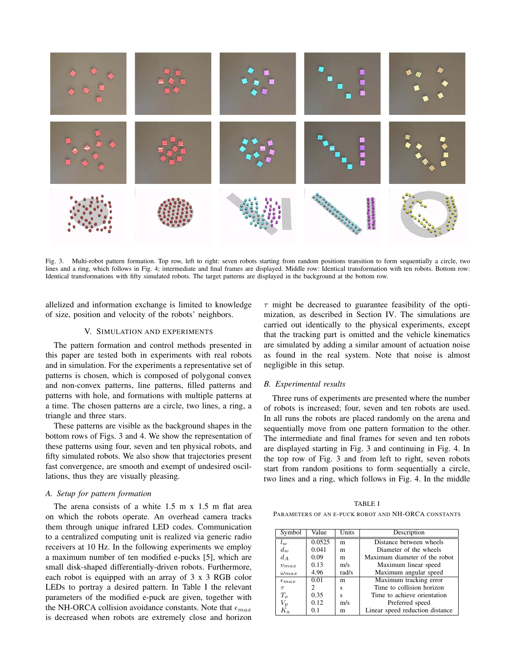

Fig. 3. Multi-robot pattern formation. Top row, left to right: seven robots starting from random positions transition to form sequentially a circle, two lines and a ring, which follows in Fig. 4; intermediate and final frames are displayed. Middle row: Identical transformation with ten robots. Bottom row: Identical transformations with fifty simulated robots. The target patterns are displayed in the background at the bottom row.

allelized and information exchange is limited to knowledge of size, position and velocity of the robots' neighbors.

#### V. SIMULATION AND EXPERIMENTS

The pattern formation and control methods presented in this paper are tested both in experiments with real robots and in simulation. For the experiments a representative set of patterns is chosen, which is composed of polygonal convex and non-convex patterns, line patterns, filled patterns and patterns with hole, and formations with multiple patterns at a time. The chosen patterns are a circle, two lines, a ring, a triangle and three stars.

These patterns are visible as the background shapes in the bottom rows of Figs. 3 and 4. We show the representation of these patterns using four, seven and ten physical robots, and fifty simulated robots. We also show that trajectories present fast convergence, are smooth and exempt of undesired oscillations, thus they are visually pleasing.

#### *A. Setup for pattern formation*

The arena consists of a white 1.5 m x 1.5 m flat area on which the robots operate. An overhead camera tracks them through unique infrared LED codes. Communication to a centralized computing unit is realized via generic radio receivers at 10 Hz. In the following experiments we employ a maximum number of ten modified e-pucks [5], which are small disk-shaped differentially-driven robots. Furthermore, each robot is equipped with an array of 3 x 3 RGB color LEDs to portray a desired pattern. In Table I the relevant parameters of the modified e-puck are given, together with the NH-ORCA collision avoidance constants. Note that  $\epsilon_{max}$ is decreased when robots are extremely close and horizon

 $\tau$  might be decreased to guarantee feasibility of the optimization, as described in Section IV. The simulations are carried out identically to the physical experiments, except that the tracking part is omitted and the vehicle kinematics are simulated by adding a similar amount of actuation noise as found in the real system. Note that noise is almost negligible in this setup.

#### *B. Experimental results*

Three runs of experiments are presented where the number of robots is increased; four, seven and ten robots are used. In all runs the robots are placed randomly on the arena and sequentially move from one pattern formation to the other. The intermediate and final frames for seven and ten robots are displayed starting in Fig. 3 and continuing in Fig. 4. In the top row of Fig. 3 and from left to right, seven robots start from random positions to form sequentially a circle, two lines and a ring, which follows in Fig. 4. In the middle

TABLE I PARAMETERS OF AN E-PUCK ROBOT AND NH-ORCA CONSTANTS

| Symbol           | Value  | Units | Description                     |
|------------------|--------|-------|---------------------------------|
| $l_{w}$          | 0.0525 | m     | Distance between wheels         |
| $d_w$            | 0.041  | m     | Diameter of the wheels          |
| $d_A$            | 0.09   | m     | Maximum diameter of the robot   |
| $v_{max}$        | 0.13   | m/s   | Maximum linear speed            |
| $\omega_{max}$   | 4.96   | rad/s | Maximum angular speed           |
| $\epsilon_{max}$ | 0.01   | m     | Maximum tracking error          |
| $\tau$           | 2      | S     | Time to collision horizon       |
| $T_{o}$          | 0.35   | S     | Time to achieve orientation     |
| $V_p$            | 0.12   | m/s   | Preferred speed                 |
| Κ.               | 0.1    | m     | Linear speed reduction distance |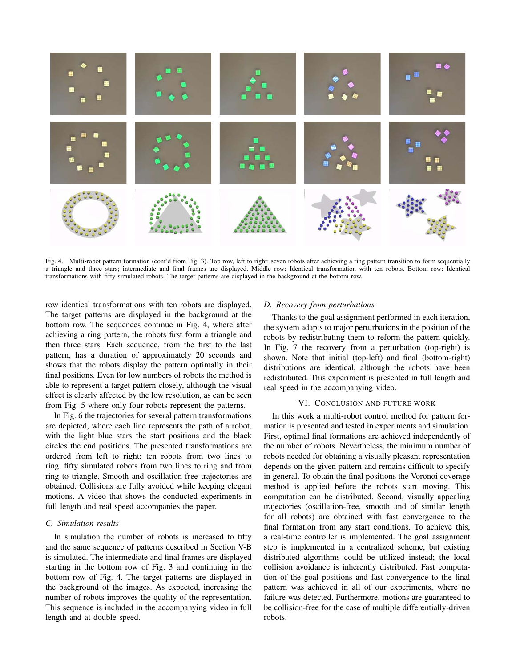

Fig. 4. Multi-robot pattern formation (cont'd from Fig. 3). Top row, left to right: seven robots after achieving a ring pattern transition to form sequentially a triangle and three stars; intermediate and final frames are displayed. Middle row: Identical transformation with ten robots. Bottom row: Identical transformations with fifty simulated robots. The target patterns are displayed in the background at the bottom row.

row identical transformations with ten robots are displayed. The target patterns are displayed in the background at the bottom row. The sequences continue in Fig. 4, where after achieving a ring pattern, the robots first form a triangle and then three stars. Each sequence, from the first to the last pattern, has a duration of approximately 20 seconds and shows that the robots display the pattern optimally in their final positions. Even for low numbers of robots the method is able to represent a target pattern closely, although the visual effect is clearly affected by the low resolution, as can be seen from Fig. 5 where only four robots represent the patterns.

In Fig. 6 the trajectories for several pattern transformations are depicted, where each line represents the path of a robot, with the light blue stars the start positions and the black circles the end positions. The presented transformations are ordered from left to right: ten robots from two lines to ring, fifty simulated robots from two lines to ring and from ring to triangle. Smooth and oscillation-free trajectories are obtained. Collisions are fully avoided while keeping elegant motions. A video that shows the conducted experiments in full length and real speed accompanies the paper.

# *C. Simulation results*

In simulation the number of robots is increased to fifty and the same sequence of patterns described in Section V-B is simulated. The intermediate and final frames are displayed starting in the bottom row of Fig. 3 and continuing in the bottom row of Fig. 4. The target patterns are displayed in the background of the images. As expected, increasing the number of robots improves the quality of the representation. This sequence is included in the accompanying video in full length and at double speed.

## *D. Recovery from perturbations*

Thanks to the goal assignment performed in each iteration, the system adapts to major perturbations in the position of the robots by redistributing them to reform the pattern quickly. In Fig. 7 the recovery from a perturbation (top-right) is shown. Note that initial (top-left) and final (bottom-right) distributions are identical, although the robots have been redistributed. This experiment is presented in full length and real speed in the accompanying video.

## VI. CONCLUSION AND FUTURE WORK

In this work a multi-robot control method for pattern formation is presented and tested in experiments and simulation. First, optimal final formations are achieved independently of the number of robots. Nevertheless, the minimum number of robots needed for obtaining a visually pleasant representation depends on the given pattern and remains difficult to specify in general. To obtain the final positions the Voronoi coverage method is applied before the robots start moving. This computation can be distributed. Second, visually appealing trajectories (oscillation-free, smooth and of similar length for all robots) are obtained with fast convergence to the final formation from any start conditions. To achieve this, a real-time controller is implemented. The goal assignment step is implemented in a centralized scheme, but existing distributed algorithms could be utilized instead; the local collision avoidance is inherently distributed. Fast computation of the goal positions and fast convergence to the final pattern was achieved in all of our experiments, where no failure was detected. Furthermore, motions are guaranteed to be collision-free for the case of multiple differentially-driven robots.